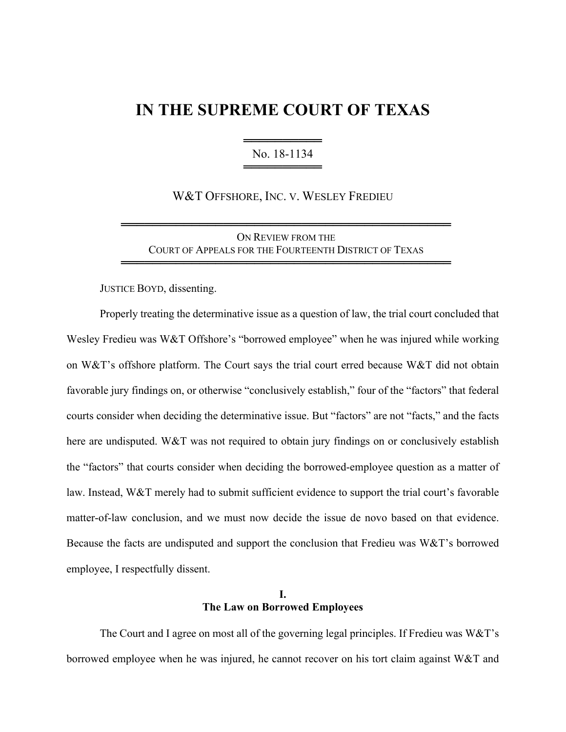# **IN THE SUPREME COURT OF TEXAS**

════════════════════════ No. 18-1134 ════════════════════════

W&T OFFSHORE, INC. V. WESLEY FREDIEU

ON REVIEW FROM THE COURT OF APPEALS FOR THE FOURTEENTH DISTRICT OF TEXAS

══════════════════════════════════════════

══════════════════════════════════════════

JUSTICE BOYD, dissenting.

Properly treating the determinative issue as a question of law, the trial court concluded that Wesley Fredieu was W&T Offshore's "borrowed employee" when he was injured while working on W&T's offshore platform. The Court says the trial court erred because W&T did not obtain favorable jury findings on, or otherwise "conclusively establish," four of the "factors" that federal courts consider when deciding the determinative issue. But "factors" are not "facts," and the facts here are undisputed. W&T was not required to obtain jury findings on or conclusively establish the "factors" that courts consider when deciding the borrowed-employee question as a matter of law. Instead, W&T merely had to submit sufficient evidence to support the trial court's favorable matter-of-law conclusion, and we must now decide the issue de novo based on that evidence. Because the facts are undisputed and support the conclusion that Fredieu was W&T's borrowed employee, I respectfully dissent.

### **I. The Law on Borrowed Employees**

The Court and I agree on most all of the governing legal principles. If Fredieu was W&T's borrowed employee when he was injured, he cannot recover on his tort claim against W&T and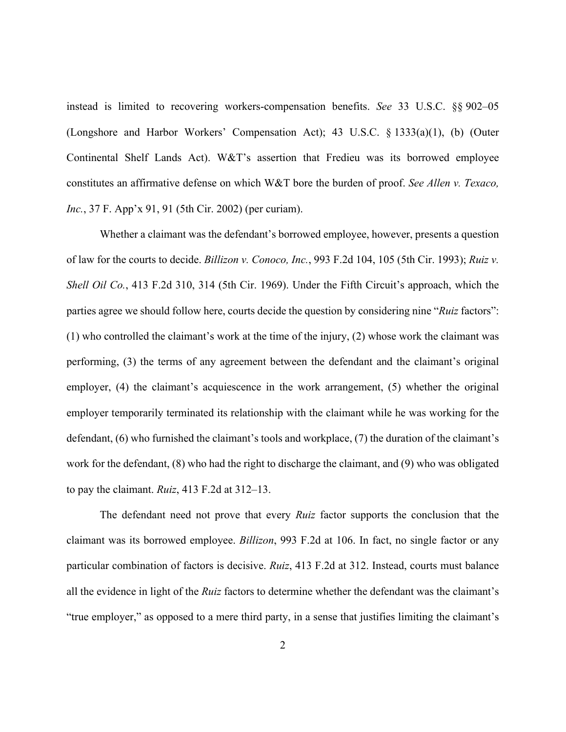instead is limited to recovering workers-compensation benefits. *See* 33 U.S.C. §§ 902–05 (Longshore and Harbor Workers' Compensation Act); 43 U.S.C. § 1333(a)(1), (b) (Outer Continental Shelf Lands Act). W&T's assertion that Fredieu was its borrowed employee constitutes an affirmative defense on which W&T bore the burden of proof. *See Allen v. Texaco, Inc.*, 37 F. App'x 91, 91 (5th Cir. 2002) (per curiam).

Whether a claimant was the defendant's borrowed employee, however, presents a question of law for the courts to decide. *Billizon v. Conoco, Inc.*, 993 F.2d 104, 105 (5th Cir. 1993); *Ruiz v. Shell Oil Co.*, 413 F.2d 310, 314 (5th Cir. 1969). Under the Fifth Circuit's approach, which the parties agree we should follow here, courts decide the question by considering nine "*Ruiz* factors": (1) who controlled the claimant's work at the time of the injury, (2) whose work the claimant was performing, (3) the terms of any agreement between the defendant and the claimant's original employer, (4) the claimant's acquiescence in the work arrangement, (5) whether the original employer temporarily terminated its relationship with the claimant while he was working for the defendant, (6) who furnished the claimant's tools and workplace, (7) the duration of the claimant's work for the defendant, (8) who had the right to discharge the claimant, and (9) who was obligated to pay the claimant. *Ruiz*, 413 F.2d at 312–13.

The defendant need not prove that every *Ruiz* factor supports the conclusion that the claimant was its borrowed employee. *Billizon*, 993 F.2d at 106. In fact, no single factor or any particular combination of factors is decisive. *Ruiz*, 413 F.2d at 312. Instead, courts must balance all the evidence in light of the *Ruiz* factors to determine whether the defendant was the claimant's "true employer," as opposed to a mere third party, in a sense that justifies limiting the claimant's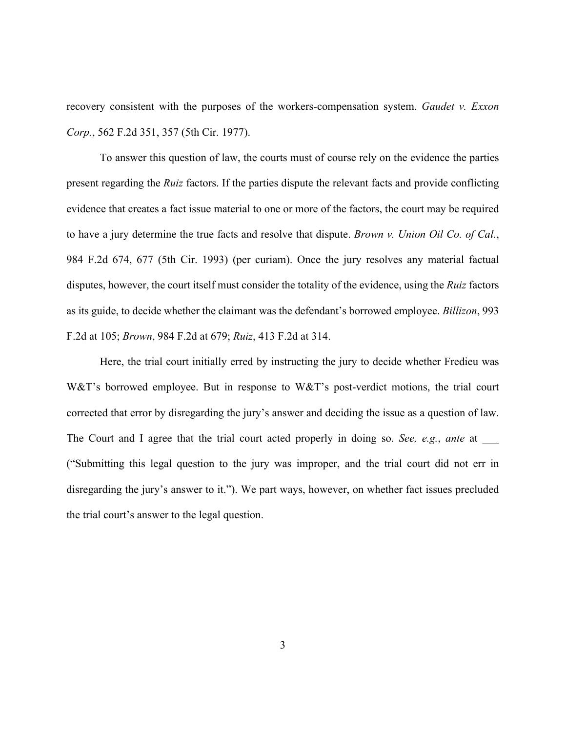recovery consistent with the purposes of the workers-compensation system. *Gaudet v. Exxon Corp.*, 562 F.2d 351, 357 (5th Cir. 1977).

To answer this question of law, the courts must of course rely on the evidence the parties present regarding the *Ruiz* factors. If the parties dispute the relevant facts and provide conflicting evidence that creates a fact issue material to one or more of the factors, the court may be required to have a jury determine the true facts and resolve that dispute. *Brown v. Union Oil Co. of Cal.*, 984 F.2d 674, 677 (5th Cir. 1993) (per curiam). Once the jury resolves any material factual disputes, however, the court itself must consider the totality of the evidence, using the *Ruiz* factors as its guide, to decide whether the claimant was the defendant's borrowed employee. *Billizon*, 993 F.2d at 105; *Brown*, 984 F.2d at 679; *Ruiz*, 413 F.2d at 314.

Here, the trial court initially erred by instructing the jury to decide whether Fredieu was W&T's borrowed employee. But in response to W&T's post-verdict motions, the trial court corrected that error by disregarding the jury's answer and deciding the issue as a question of law. The Court and I agree that the trial court acted properly in doing so. *See, e.g.*, *ante* at \_\_\_ ("Submitting this legal question to the jury was improper, and the trial court did not err in disregarding the jury's answer to it."). We part ways, however, on whether fact issues precluded the trial court's answer to the legal question.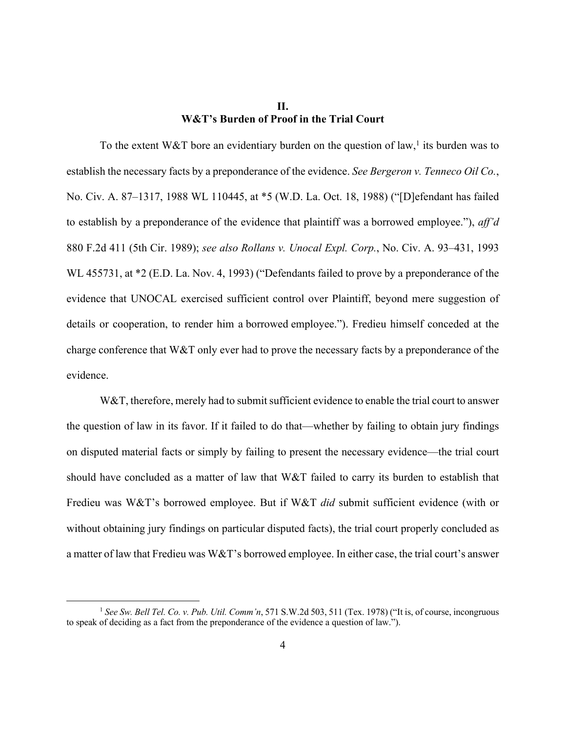## **II. W&T's Burden of Proof in the Trial Court**

To the extent W&T bore an evidentiary burden on the question of law,<sup>1</sup> its burden was to establish the necessary facts by a preponderance of the evidence. *See Bergeron v. Tenneco Oil Co.*, No. Civ. A. 87–1317, 1988 WL 110445, at \*5 (W.D. La. Oct. 18, 1988) ("[D]efendant has failed to establish by a preponderance of the evidence that plaintiff was a borrowed employee."), *aff'd* 880 F.2d 411 (5th Cir. 1989); *see also Rollans v. Unocal Expl. Corp.*, No. Civ. A. 93–431, 1993 WL 455731, at  $*2$  (E.D. La. Nov. 4, 1993) ("Defendants failed to prove by a preponderance of the evidence that UNOCAL exercised sufficient control over Plaintiff, beyond mere suggestion of details or cooperation, to render him a borrowed employee."). Fredieu himself conceded at the charge conference that W&T only ever had to prove the necessary facts by a preponderance of the evidence.

W&T, therefore, merely had to submit sufficient evidence to enable the trial court to answer the question of law in its favor. If it failed to do that—whether by failing to obtain jury findings on disputed material facts or simply by failing to present the necessary evidence—the trial court should have concluded as a matter of law that W&T failed to carry its burden to establish that Fredieu was W&T's borrowed employee. But if W&T *did* submit sufficient evidence (with or without obtaining jury findings on particular disputed facts), the trial court properly concluded as a matter of law that Fredieu was W&T's borrowed employee. In either case, the trial court's answer

<sup>1</sup> *See Sw. Bell Tel. Co. v. Pub. Util. Comm'n*, 571 S.W.2d 503, 511 (Tex. 1978) ("It is, of course, incongruous to speak of deciding as a fact from the preponderance of the evidence a question of law.").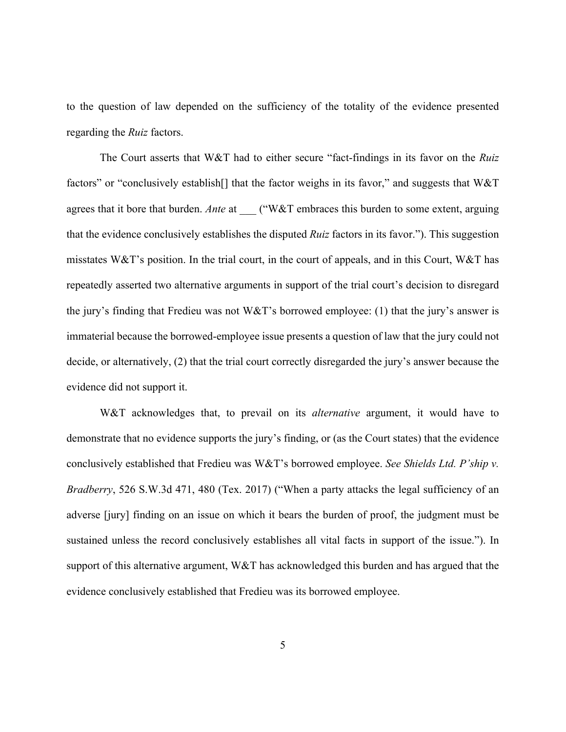to the question of law depended on the sufficiency of the totality of the evidence presented regarding the *Ruiz* factors.

The Court asserts that W&T had to either secure "fact-findings in its favor on the *Ruiz* factors" or "conclusively establish<sup>[]</sup> that the factor weighs in its favor," and suggests that W&T agrees that it bore that burden. *Ante* at \_\_\_ ("W&T embraces this burden to some extent, arguing that the evidence conclusively establishes the disputed *Ruiz* factors in its favor."). This suggestion misstates W&T's position. In the trial court, in the court of appeals, and in this Court, W&T has repeatedly asserted two alternative arguments in support of the trial court's decision to disregard the jury's finding that Fredieu was not W&T's borrowed employee: (1) that the jury's answer is immaterial because the borrowed-employee issue presents a question of law that the jury could not decide, or alternatively, (2) that the trial court correctly disregarded the jury's answer because the evidence did not support it.

W&T acknowledges that, to prevail on its *alternative* argument, it would have to demonstrate that no evidence supports the jury's finding, or (as the Court states) that the evidence conclusively established that Fredieu was W&T's borrowed employee. *See Shields Ltd. P'ship v. Bradberry*, 526 S.W.3d 471, 480 (Tex. 2017) ("When a party attacks the legal sufficiency of an adverse [jury] finding on an issue on which it bears the burden of proof, the judgment must be sustained unless the record conclusively establishes all vital facts in support of the issue."). In support of this alternative argument, W&T has acknowledged this burden and has argued that the evidence conclusively established that Fredieu was its borrowed employee.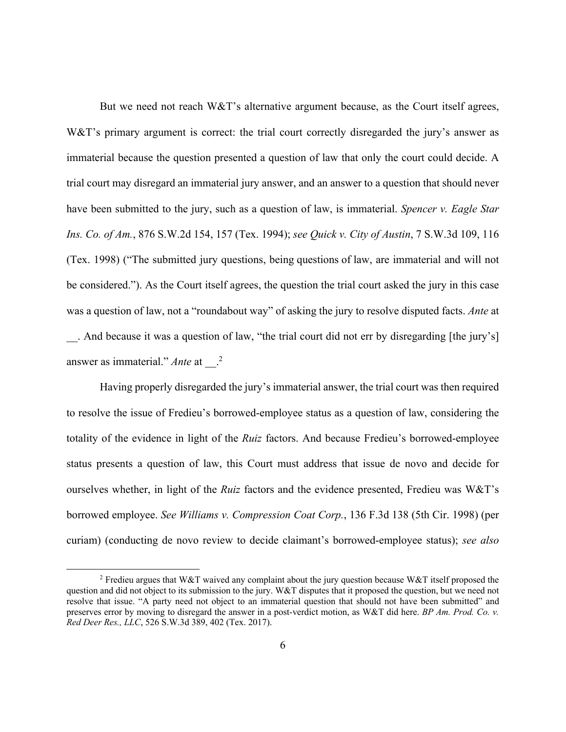But we need not reach W&T's alternative argument because, as the Court itself agrees, W&T's primary argument is correct: the trial court correctly disregarded the jury's answer as immaterial because the question presented a question of law that only the court could decide. A trial court may disregard an immaterial jury answer, and an answer to a question that should never have been submitted to the jury, such as a question of law, is immaterial. *Spencer v. Eagle Star Ins. Co. of Am.*, 876 S.W.2d 154, 157 (Tex. 1994); *see Quick v. City of Austin*, 7 S.W.3d 109, 116 (Tex. 1998) ("The submitted jury questions, being questions of law, are immaterial and will not be considered."). As the Court itself agrees, the question the trial court asked the jury in this case was a question of law, not a "roundabout way" of asking the jury to resolve disputed facts. *Ante* at . And because it was a question of law, "the trial court did not err by disregarding [the jury's] answer as immaterial." *Ante* at <sup>2</sup>

Having properly disregarded the jury's immaterial answer, the trial court was then required to resolve the issue of Fredieu's borrowed-employee status as a question of law, considering the totality of the evidence in light of the *Ruiz* factors. And because Fredieu's borrowed-employee status presents a question of law, this Court must address that issue de novo and decide for ourselves whether, in light of the *Ruiz* factors and the evidence presented, Fredieu was W&T's borrowed employee. *See Williams v. Compression Coat Corp.*, 136 F.3d 138 (5th Cir. 1998) (per curiam) (conducting de novo review to decide claimant's borrowed-employee status); *see also*

<sup>&</sup>lt;sup>2</sup> Fredieu argues that W&T waived any complaint about the jury question because W&T itself proposed the question and did not object to its submission to the jury. W&T disputes that it proposed the question, but we need not resolve that issue. "A party need not object to an immaterial question that should not have been submitted" and preserves error by moving to disregard the answer in a post-verdict motion, as W&T did here. *BP Am. Prod. Co. v. Red Deer Res., LLC*, 526 S.W.3d 389, 402 (Tex. 2017).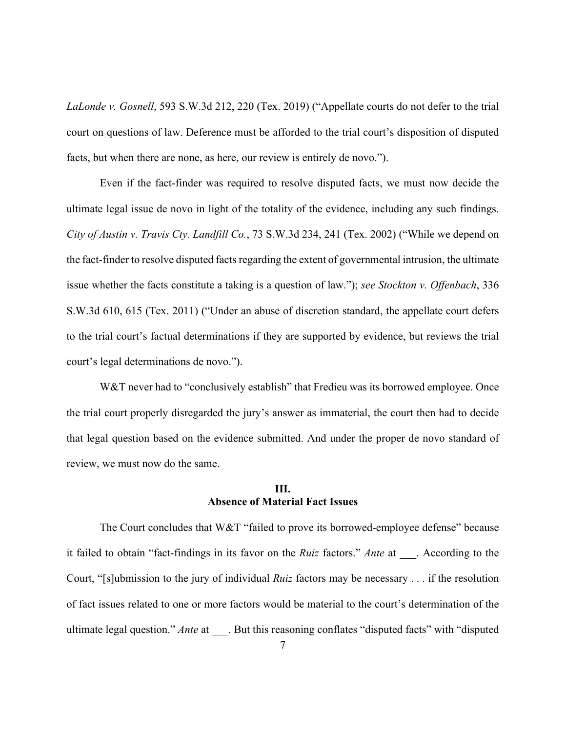*LaLonde v. Gosnell*, 593 S.W.3d 212, 220 (Tex. 2019) ("Appellate courts do not defer to the trial court on questions of law. Deference must be afforded to the trial court's disposition of disputed facts, but when there are none, as here, our review is entirely de novo.").

Even if the fact-finder was required to resolve disputed facts, we must now decide the ultimate legal issue de novo in light of the totality of the evidence, including any such findings. *City of Austin v. Travis Cty. Landfill Co.*, 73 S.W.3d 234, 241 (Tex. 2002) ("While we depend on the fact-finder to resolve disputed facts regarding the extent of governmental intrusion, the ultimate issue whether the facts constitute a taking is a question of law."); *see Stockton v. Offenbach*, 336 S.W.3d 610, 615 (Tex. 2011) ("Under an abuse of discretion standard, the appellate court defers to the trial court's factual determinations if they are supported by evidence, but reviews the trial court's legal determinations de novo.").

W&T never had to "conclusively establish" that Fredieu was its borrowed employee. Once the trial court properly disregarded the jury's answer as immaterial, the court then had to decide that legal question based on the evidence submitted. And under the proper de novo standard of review, we must now do the same.

#### **III. Absence of Material Fact Issues**

The Court concludes that W&T "failed to prove its borrowed-employee defense" because it failed to obtain "fact-findings in its favor on the *Ruiz* factors." *Ante* at According to the Court, "[s]ubmission to the jury of individual *Ruiz* factors may be necessary . . . if the resolution of fact issues related to one or more factors would be material to the court's determination of the ultimate legal question." *Ante* at . But this reasoning conflates "disputed facts" with "disputed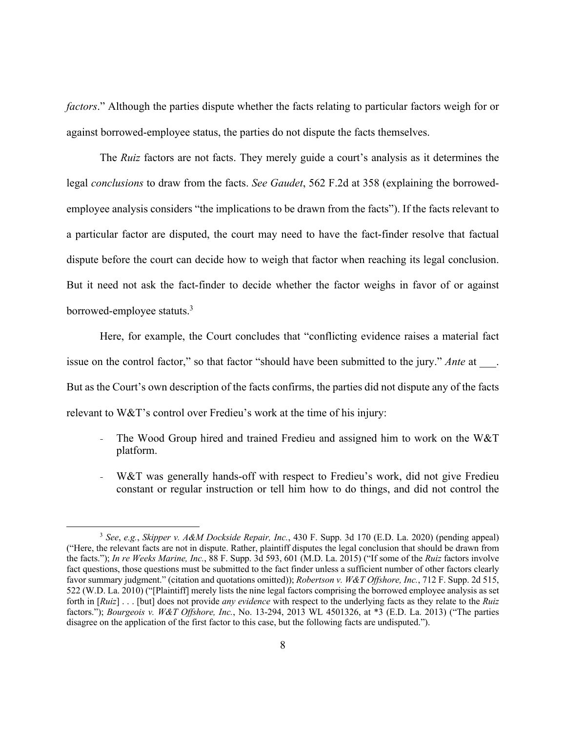*factors*." Although the parties dispute whether the facts relating to particular factors weigh for or against borrowed-employee status, the parties do not dispute the facts themselves.

The *Ruiz* factors are not facts. They merely guide a court's analysis as it determines the legal *conclusions* to draw from the facts. *See Gaudet*, 562 F.2d at 358 (explaining the borrowedemployee analysis considers "the implications to be drawn from the facts"). If the facts relevant to a particular factor are disputed, the court may need to have the fact-finder resolve that factual dispute before the court can decide how to weigh that factor when reaching its legal conclusion. But it need not ask the fact-finder to decide whether the factor weighs in favor of or against borrowed-employee statuts.<sup>3</sup>

Here, for example, the Court concludes that "conflicting evidence raises a material fact issue on the control factor," so that factor "should have been submitted to the jury." *Ante* at \_\_\_\_. But as the Court's own description of the facts confirms, the parties did not dispute any of the facts relevant to W&T's control over Fredieu's work at the time of his injury:

- The Wood Group hired and trained Fredieu and assigned him to work on the W&T platform.
- W&T was generally hands-off with respect to Fredieu's work, did not give Fredieu constant or regular instruction or tell him how to do things, and did not control the

<sup>3</sup> *See*, *e.g.*, *Skipper v. A&M Dockside Repair, Inc.*, 430 F. Supp. 3d 170 (E.D. La. 2020) (pending appeal) ("Here, the relevant facts are not in dispute. Rather, plaintiff disputes the legal conclusion that should be drawn from the facts."); *In re Weeks Marine, Inc.*, 88 F. Supp. 3d 593, 601 (M.D. La. 2015) ("If some of the *Ruiz* factors involve fact questions, those questions must be submitted to the fact finder unless a sufficient number of other factors clearly favor summary judgment." (citation and quotations omitted)); *Robertson v. W&T Offshore, Inc.*, 712 F. Supp. 2d 515, 522 (W.D. La. 2010) ("[Plaintiff] merely lists the nine legal factors comprising the borrowed employee analysis as set forth in [*Ruiz*] . . . [but] does not provide *any evidence* with respect to the underlying facts as they relate to the *Ruiz* factors."); *Bourgeois v. W&T Offshore, Inc.*, No. 13-294, 2013 WL 4501326, at \*3 (E.D. La. 2013) ("The parties disagree on the application of the first factor to this case, but the following facts are undisputed.").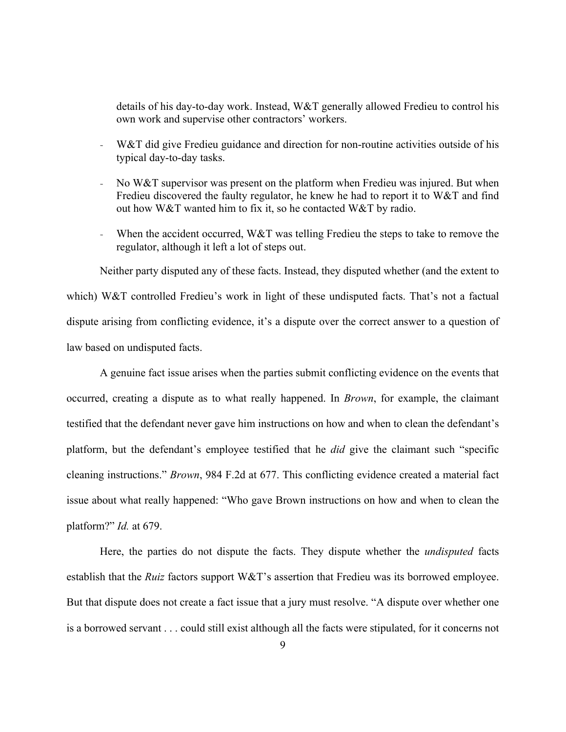details of his day-to-day work. Instead, W&T generally allowed Fredieu to control his own work and supervise other contractors' workers.

- W&T did give Fredieu guidance and direction for non-routine activities outside of his typical day-to-day tasks.
- No W&T supervisor was present on the platform when Fredieu was injured. But when Fredieu discovered the faulty regulator, he knew he had to report it to W&T and find out how W&T wanted him to fix it, so he contacted W&T by radio.
- When the accident occurred,  $W&T$  was telling Fredieu the steps to take to remove the regulator, although it left a lot of steps out.

Neither party disputed any of these facts. Instead, they disputed whether (and the extent to which) W&T controlled Fredieu's work in light of these undisputed facts. That's not a factual dispute arising from conflicting evidence, it's a dispute over the correct answer to a question of law based on undisputed facts.

A genuine fact issue arises when the parties submit conflicting evidence on the events that occurred, creating a dispute as to what really happened. In *Brown*, for example, the claimant testified that the defendant never gave him instructions on how and when to clean the defendant's platform, but the defendant's employee testified that he *did* give the claimant such "specific cleaning instructions." *Brown*, 984 F.2d at 677. This conflicting evidence created a material fact issue about what really happened: "Who gave Brown instructions on how and when to clean the platform?" *Id.* at 679.

Here, the parties do not dispute the facts. They dispute whether the *undisputed* facts establish that the *Ruiz* factors support W&T's assertion that Fredieu was its borrowed employee. But that dispute does not create a fact issue that a jury must resolve. "A dispute over whether one is a borrowed servant . . . could still exist although all the facts were stipulated, for it concerns not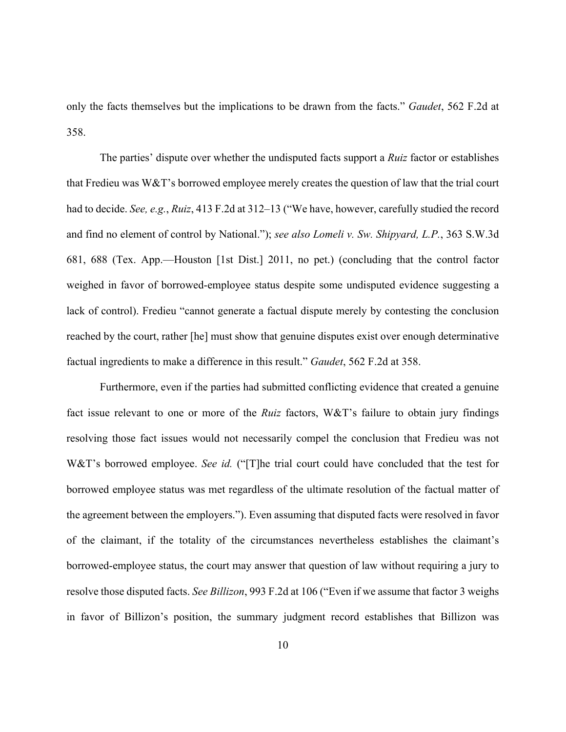only the facts themselves but the implications to be drawn from the facts." *Gaudet*, 562 F.2d at 358.

The parties' dispute over whether the undisputed facts support a *Ruiz* factor or establishes that Fredieu was W&T's borrowed employee merely creates the question of law that the trial court had to decide. *See, e.g.*, *Ruiz*, 413 F.2d at 312–13 ("We have, however, carefully studied the record and find no element of control by National."); *see also Lomeli v. Sw. Shipyard, L.P.*, 363 S.W.3d 681, 688 (Tex. App.—Houston [1st Dist.] 2011, no pet.) (concluding that the control factor weighed in favor of borrowed-employee status despite some undisputed evidence suggesting a lack of control). Fredieu "cannot generate a factual dispute merely by contesting the conclusion reached by the court, rather [he] must show that genuine disputes exist over enough determinative factual ingredients to make a difference in this result." *Gaudet*, 562 F.2d at 358.

Furthermore, even if the parties had submitted conflicting evidence that created a genuine fact issue relevant to one or more of the *Ruiz* factors, W&T's failure to obtain jury findings resolving those fact issues would not necessarily compel the conclusion that Fredieu was not W&T's borrowed employee. *See id.* ("[T]he trial court could have concluded that the test for borrowed employee status was met regardless of the ultimate resolution of the factual matter of the agreement between the employers."). Even assuming that disputed facts were resolved in favor of the claimant, if the totality of the circumstances nevertheless establishes the claimant's borrowed-employee status, the court may answer that question of law without requiring a jury to resolve those disputed facts. *See Billizon*, 993 F.2d at 106 ("Even if we assume that factor 3 weighs in favor of Billizon's position, the summary judgment record establishes that Billizon was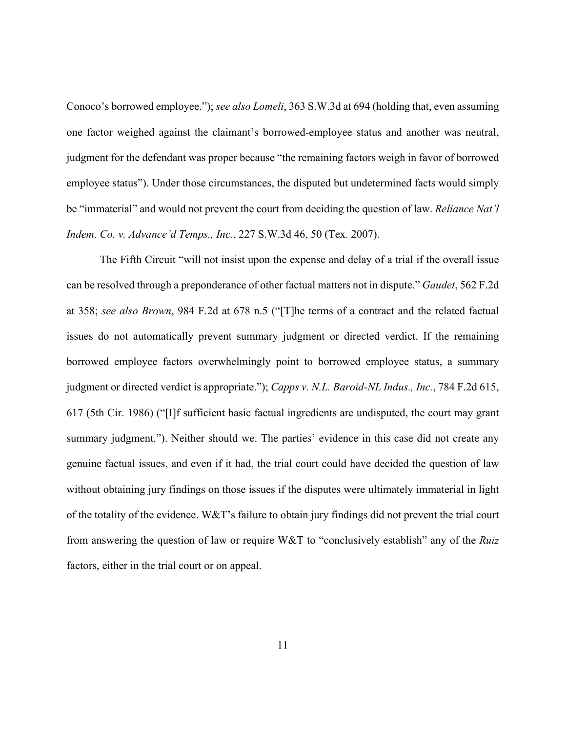Conoco's borrowed employee."); *see also Lomeli*, 363 S.W.3d at 694 (holding that, even assuming one factor weighed against the claimant's borrowed-employee status and another was neutral, judgment for the defendant was proper because "the remaining factors weigh in favor of borrowed employee status"). Under those circumstances, the disputed but undetermined facts would simply be "immaterial" and would not prevent the court from deciding the question of law. *Reliance Nat'l Indem. Co. v. Advance'd Temps., Inc.*, 227 S.W.3d 46, 50 (Tex. 2007).

The Fifth Circuit "will not insist upon the expense and delay of a trial if the overall issue can be resolved through a preponderance of other factual matters not in dispute." *Gaudet*, 562 F.2d at 358; *see also Brown*, 984 F.2d at 678 n.5 ("[T]he terms of a contract and the related factual issues do not automatically prevent summary judgment or directed verdict. If the remaining borrowed employee factors overwhelmingly point to borrowed employee status, a summary judgment or directed verdict is appropriate."); *Capps v. N.L. Baroid-NL Indus., Inc.*, 784 F.2d 615, 617 (5th Cir. 1986) ("[I]f sufficient basic factual ingredients are undisputed, the court may grant summary judgment."). Neither should we. The parties' evidence in this case did not create any genuine factual issues, and even if it had, the trial court could have decided the question of law without obtaining jury findings on those issues if the disputes were ultimately immaterial in light of the totality of the evidence. W&T's failure to obtain jury findings did not prevent the trial court from answering the question of law or require W&T to "conclusively establish" any of the *Ruiz* factors, either in the trial court or on appeal.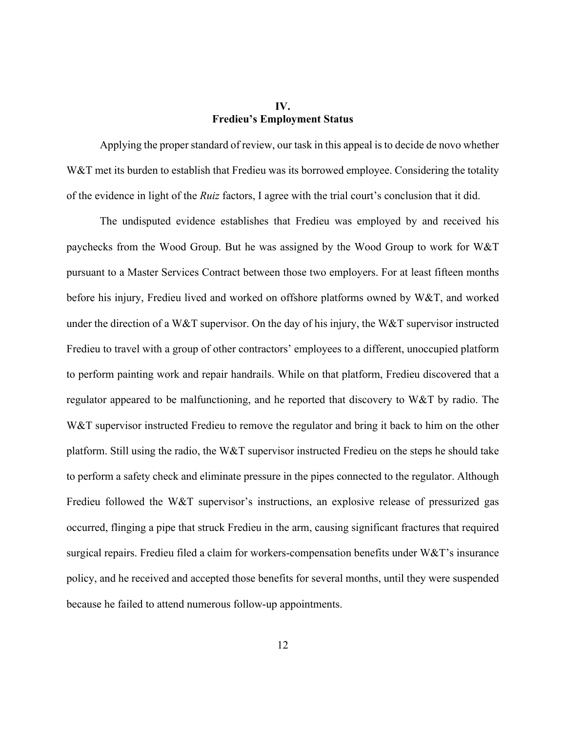## **IV. Fredieu's Employment Status**

Applying the proper standard of review, our task in this appeal is to decide de novo whether W&T met its burden to establish that Fredieu was its borrowed employee. Considering the totality of the evidence in light of the *Ruiz* factors, I agree with the trial court's conclusion that it did.

The undisputed evidence establishes that Fredieu was employed by and received his paychecks from the Wood Group. But he was assigned by the Wood Group to work for W&T pursuant to a Master Services Contract between those two employers. For at least fifteen months before his injury, Fredieu lived and worked on offshore platforms owned by W&T, and worked under the direction of a W&T supervisor. On the day of his injury, the W&T supervisor instructed Fredieu to travel with a group of other contractors' employees to a different, unoccupied platform to perform painting work and repair handrails. While on that platform, Fredieu discovered that a regulator appeared to be malfunctioning, and he reported that discovery to W&T by radio. The W&T supervisor instructed Fredieu to remove the regulator and bring it back to him on the other platform. Still using the radio, the W&T supervisor instructed Fredieu on the steps he should take to perform a safety check and eliminate pressure in the pipes connected to the regulator. Although Fredieu followed the W&T supervisor's instructions, an explosive release of pressurized gas occurred, flinging a pipe that struck Fredieu in the arm, causing significant fractures that required surgical repairs. Fredieu filed a claim for workers-compensation benefits under W&T's insurance policy, and he received and accepted those benefits for several months, until they were suspended because he failed to attend numerous follow-up appointments.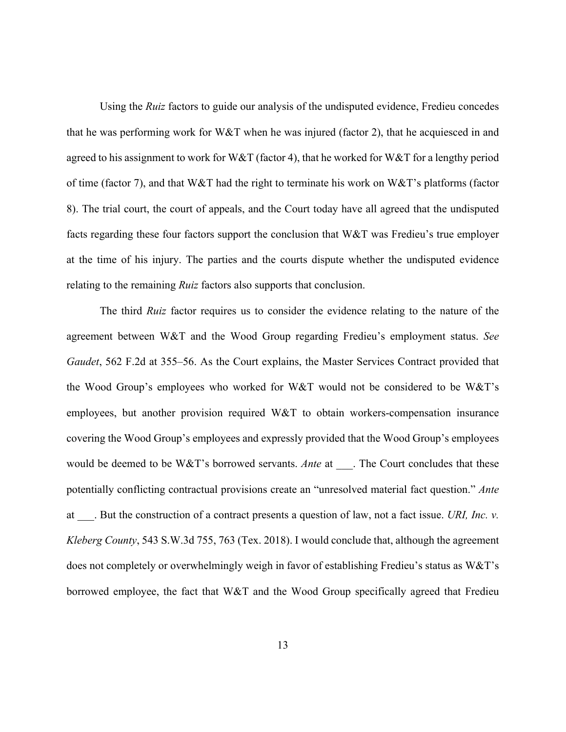Using the *Ruiz* factors to guide our analysis of the undisputed evidence, Fredieu concedes that he was performing work for W&T when he was injured (factor 2), that he acquiesced in and agreed to his assignment to work for W&T (factor 4), that he worked for W&T for a lengthy period of time (factor 7), and that W&T had the right to terminate his work on W&T's platforms (factor 8). The trial court, the court of appeals, and the Court today have all agreed that the undisputed facts regarding these four factors support the conclusion that W&T was Fredieu's true employer at the time of his injury. The parties and the courts dispute whether the undisputed evidence relating to the remaining *Ruiz* factors also supports that conclusion.

The third *Ruiz* factor requires us to consider the evidence relating to the nature of the agreement between W&T and the Wood Group regarding Fredieu's employment status. *See Gaudet*, 562 F.2d at 355–56. As the Court explains, the Master Services Contract provided that the Wood Group's employees who worked for W&T would not be considered to be W&T's employees, but another provision required W&T to obtain workers-compensation insurance covering the Wood Group's employees and expressly provided that the Wood Group's employees would be deemed to be W&T's borrowed servants. *Ante* at \_\_\_. The Court concludes that these potentially conflicting contractual provisions create an "unresolved material fact question." *Ante* at \_\_\_. But the construction of a contract presents a question of law, not a fact issue. *URI, Inc. v. Kleberg County*, 543 S.W.3d 755, 763 (Tex. 2018). I would conclude that, although the agreement does not completely or overwhelmingly weigh in favor of establishing Fredieu's status as W&T's borrowed employee, the fact that W&T and the Wood Group specifically agreed that Fredieu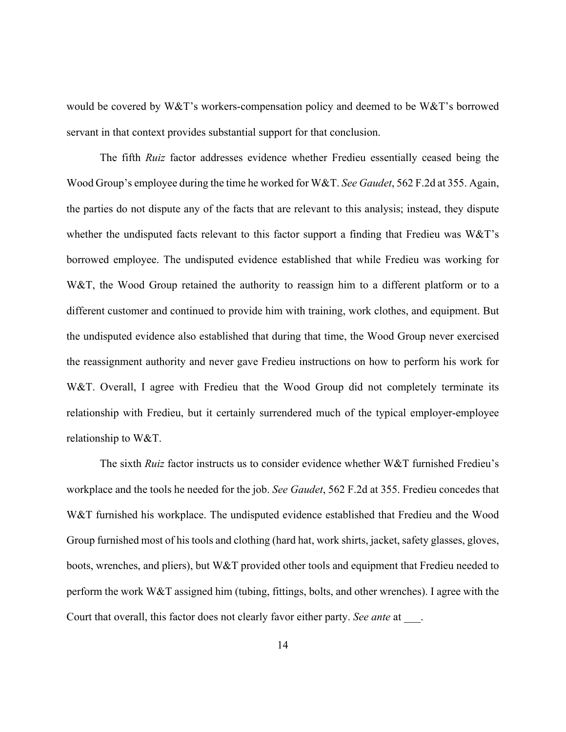would be covered by W&T's workers-compensation policy and deemed to be W&T's borrowed servant in that context provides substantial support for that conclusion.

The fifth *Ruiz* factor addresses evidence whether Fredieu essentially ceased being the Wood Group's employee during the time he worked for W&T. *See Gaudet*, 562 F.2d at 355. Again, the parties do not dispute any of the facts that are relevant to this analysis; instead, they dispute whether the undisputed facts relevant to this factor support a finding that Fredieu was  $W\&T$ 's borrowed employee. The undisputed evidence established that while Fredieu was working for W&T, the Wood Group retained the authority to reassign him to a different platform or to a different customer and continued to provide him with training, work clothes, and equipment. But the undisputed evidence also established that during that time, the Wood Group never exercised the reassignment authority and never gave Fredieu instructions on how to perform his work for W&T. Overall, I agree with Fredieu that the Wood Group did not completely terminate its relationship with Fredieu, but it certainly surrendered much of the typical employer-employee relationship to W&T.

The sixth *Ruiz* factor instructs us to consider evidence whether W&T furnished Fredieu's workplace and the tools he needed for the job. *See Gaudet*, 562 F.2d at 355. Fredieu concedes that W&T furnished his workplace. The undisputed evidence established that Fredieu and the Wood Group furnished most of his tools and clothing (hard hat, work shirts, jacket, safety glasses, gloves, boots, wrenches, and pliers), but W&T provided other tools and equipment that Fredieu needed to perform the work W&T assigned him (tubing, fittings, bolts, and other wrenches). I agree with the Court that overall, this factor does not clearly favor either party. *See ante* at  $\qquad$ .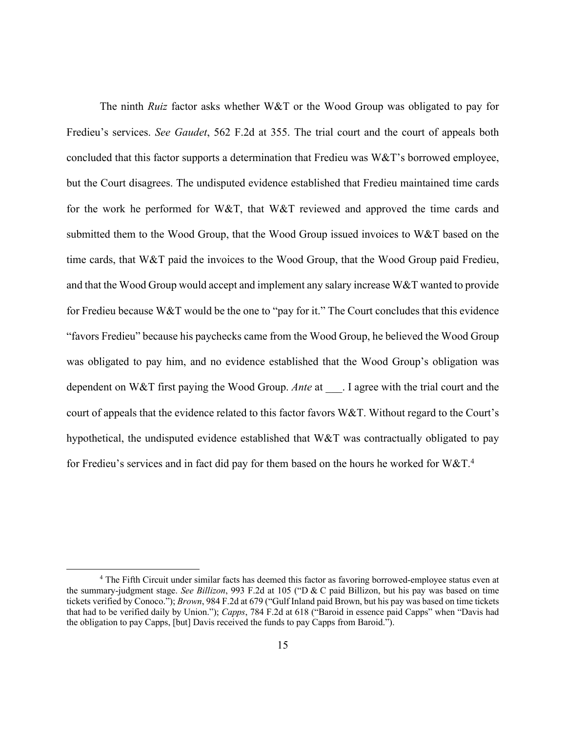The ninth *Ruiz* factor asks whether W&T or the Wood Group was obligated to pay for Fredieu's services. *See Gaudet*, 562 F.2d at 355. The trial court and the court of appeals both concluded that this factor supports a determination that Fredieu was W&T's borrowed employee, but the Court disagrees. The undisputed evidence established that Fredieu maintained time cards for the work he performed for W&T, that W&T reviewed and approved the time cards and submitted them to the Wood Group, that the Wood Group issued invoices to W&T based on the time cards, that W&T paid the invoices to the Wood Group, that the Wood Group paid Fredieu, and that the Wood Group would accept and implement any salary increase W&T wanted to provide for Fredieu because W&T would be the one to "pay for it." The Court concludes that this evidence "favors Fredieu" because his paychecks came from the Wood Group, he believed the Wood Group was obligated to pay him, and no evidence established that the Wood Group's obligation was dependent on W&T first paying the Wood Group. *Ante* at . I agree with the trial court and the court of appeals that the evidence related to this factor favors W&T. Without regard to the Court's hypothetical, the undisputed evidence established that W&T was contractually obligated to pay for Fredieu's services and in fact did pay for them based on the hours he worked for  $W\&T.^4$ 

<sup>&</sup>lt;sup>4</sup> The Fifth Circuit under similar facts has deemed this factor as favoring borrowed-employee status even at the summary-judgment stage. *See Billizon*, 993 F.2d at 105 ("D & C paid Billizon, but his pay was based on time tickets verified by Conoco."); *Brown*, 984 F.2d at 679 ("Gulf Inland paid Brown, but his pay was based on time tickets that had to be verified daily by Union."); *Capps*, 784 F.2d at 618 ("Baroid in essence paid Capps" when "Davis had the obligation to pay Capps, [but] Davis received the funds to pay Capps from Baroid.").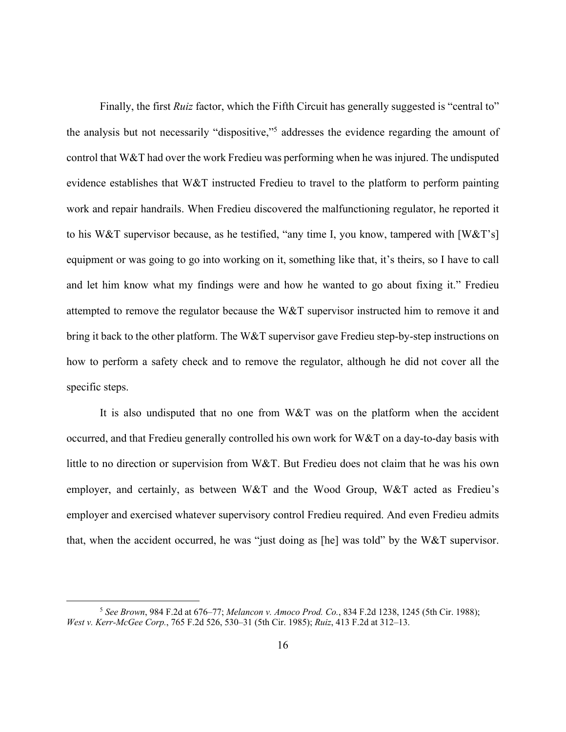Finally, the first *Ruiz* factor, which the Fifth Circuit has generally suggested is "central to" the analysis but not necessarily "dispositive,"5 addresses the evidence regarding the amount of control that W&T had over the work Fredieu was performing when he was injured. The undisputed evidence establishes that W&T instructed Fredieu to travel to the platform to perform painting work and repair handrails. When Fredieu discovered the malfunctioning regulator, he reported it to his W&T supervisor because, as he testified, "any time I, you know, tampered with [W&T's] equipment or was going to go into working on it, something like that, it's theirs, so I have to call and let him know what my findings were and how he wanted to go about fixing it." Fredieu attempted to remove the regulator because the W&T supervisor instructed him to remove it and bring it back to the other platform. The W&T supervisor gave Fredieu step-by-step instructions on how to perform a safety check and to remove the regulator, although he did not cover all the specific steps.

It is also undisputed that no one from W&T was on the platform when the accident occurred, and that Fredieu generally controlled his own work for W&T on a day-to-day basis with little to no direction or supervision from W&T. But Fredieu does not claim that he was his own employer, and certainly, as between W&T and the Wood Group, W&T acted as Fredieu's employer and exercised whatever supervisory control Fredieu required. And even Fredieu admits that, when the accident occurred, he was "just doing as [he] was told" by the W&T supervisor.

<sup>5</sup> *See Brown*, 984 F.2d at 676–77; *Melancon v. Amoco Prod. Co.*, 834 F.2d 1238, 1245 (5th Cir. 1988); *West v. Kerr-McGee Corp.*, 765 F.2d 526, 530–31 (5th Cir. 1985); *Ruiz*, 413 F.2d at 312–13.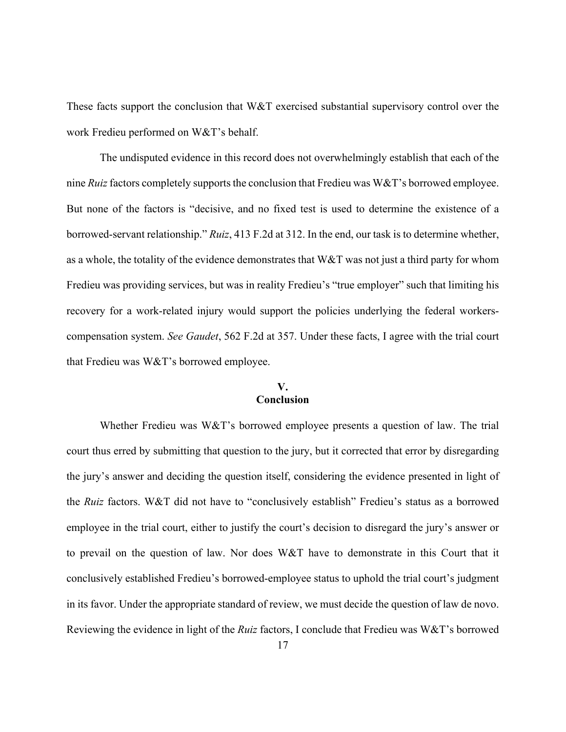These facts support the conclusion that W&T exercised substantial supervisory control over the work Fredieu performed on W&T's behalf.

The undisputed evidence in this record does not overwhelmingly establish that each of the nine *Ruiz* factors completely supports the conclusion that Fredieu was W&T's borrowed employee. But none of the factors is "decisive, and no fixed test is used to determine the existence of a borrowed-servant relationship." *Ruiz*, 413 F.2d at 312. In the end, our task is to determine whether, as a whole, the totality of the evidence demonstrates that W&T was not just a third party for whom Fredieu was providing services, but was in reality Fredieu's "true employer" such that limiting his recovery for a work-related injury would support the policies underlying the federal workerscompensation system. *See Gaudet*, 562 F.2d at 357. Under these facts, I agree with the trial court that Fredieu was W&T's borrowed employee.

#### **V. Conclusion**

Whether Fredieu was W&T's borrowed employee presents a question of law. The trial court thus erred by submitting that question to the jury, but it corrected that error by disregarding the jury's answer and deciding the question itself, considering the evidence presented in light of the *Ruiz* factors. W&T did not have to "conclusively establish" Fredieu's status as a borrowed employee in the trial court, either to justify the court's decision to disregard the jury's answer or to prevail on the question of law. Nor does W&T have to demonstrate in this Court that it conclusively established Fredieu's borrowed-employee status to uphold the trial court's judgment in its favor. Under the appropriate standard of review, we must decide the question of law de novo. Reviewing the evidence in light of the *Ruiz* factors, I conclude that Fredieu was W&T's borrowed